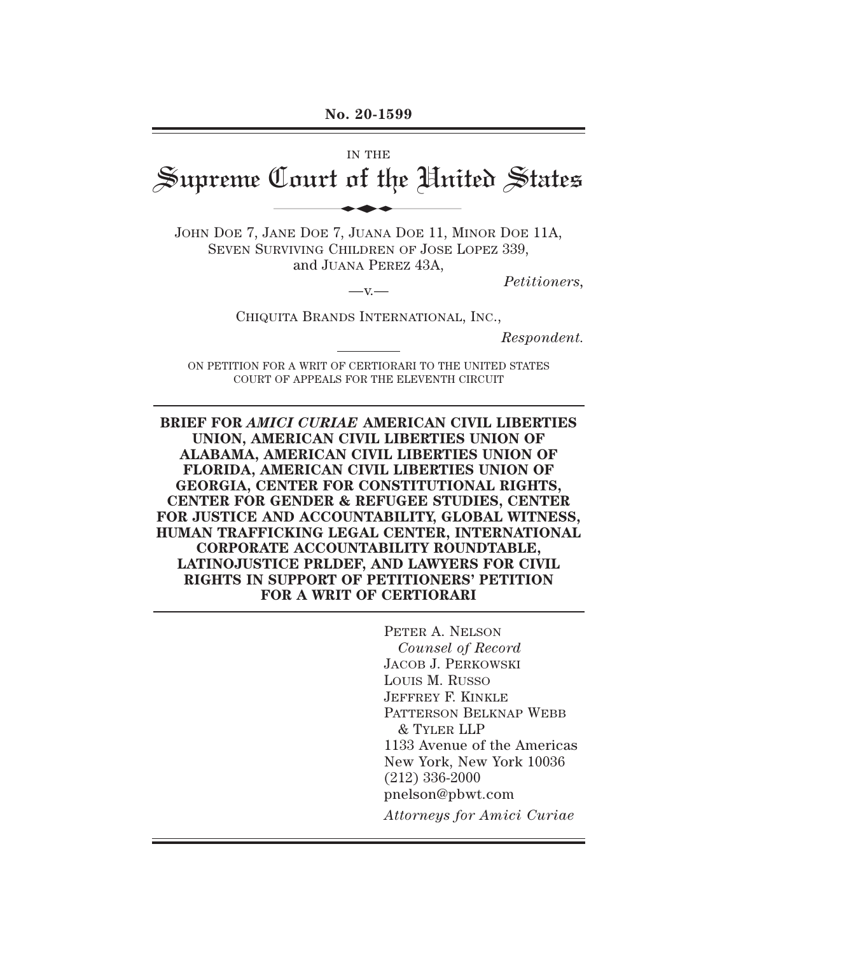#### **No. 20-1599**

# IN THE Supreme Court of the United States No. 20-1599<br>IN THE<br>Lourt of the Uni

JOHN DOE 7, JANE DOE 7, JUANA DOE 11, MINOR DOE 11A, SEVEN SURVIVING CHILDREN OF JOSE LOPEZ 339, and JUANA PEREZ 43A,

*Petitioners,* —v.—

CHIQUITA BRANDS INTERNATIONAL, INC.,

*Respondent.* 

ON PETITION FOR A WRIT OF CERTIORARI TO THE UNITED STATES COURT OF APPEALS FOR THE ELEVENTH CIRCUIT

**BRIEF FOR** *AMICI CURIAE* **AMERICAN CIVIL LIBERTIES UNION, AMERICAN CIVIL LIBERTIES UNION OF ALABAMA, AMERICAN CIVIL LIBERTIES UNION OF FLORIDA, AMERICAN CIVIL LIBERTIES UNION OF GEORGIA, CENTER FOR CONSTITUTIONAL RIGHTS, CENTER FOR GENDER & REFUGEE STUDIES, CENTER FOR JUSTICE AND ACCOUNTABILITY, GLOBAL WITNESS, HUMAN TRAFFICKING LEGAL CENTER, INTERNATIONAL CORPORATE ACCOUNTABILITY ROUNDTABLE, LATINOJUSTICE PRLDEF, AND LAWYERS FOR CIVIL RIGHTS IN SUPPORT OF PETITIONERS' PETITION FOR A WRIT OF CERTIORARI** 

> PETER A. NELSON *Counsel of Record*  JACOB J. PERKOWSKI LOUIS M. RUSSO JEFFREY F. KINKLE PATTERSON BELKNAP WEBB & TYLER LLP 1133 Avenue of the Americas New York, New York 10036 (212) 336-2000 pnelson@pbwt.com *Attorneys for Amici Curiae*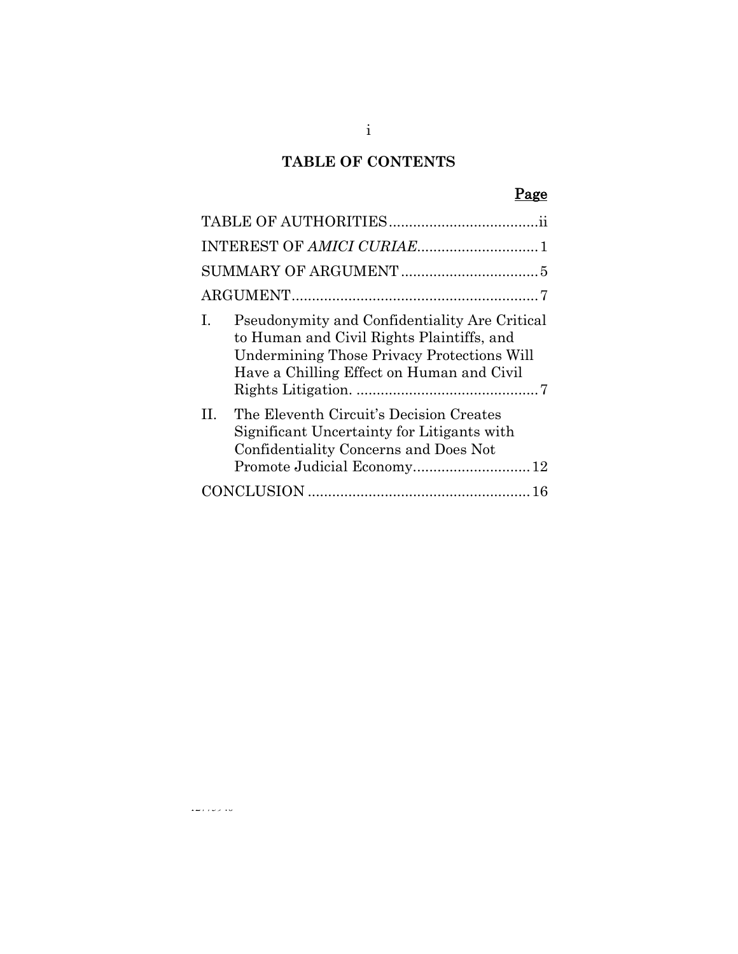# **TABLE OF CONTENTS**

# Page

| Pseudonymity and Confidentiality Are Critical<br>I.<br>to Human and Civil Rights Plaintiffs, and<br><b>Undermining Those Privacy Protections Will</b><br>Have a Chilling Effect on Human and Civil |
|----------------------------------------------------------------------------------------------------------------------------------------------------------------------------------------------------|
| The Eleventh Circuit's Decision Creates<br>H.<br>Significant Uncertainty for Litigants with<br>Confidentiality Concerns and Does Not<br>Promote Judicial Economy 12                                |
|                                                                                                                                                                                                    |

 $\omega\omega$  ,  $\omega$  ,  $\omega$  ,  $\omega$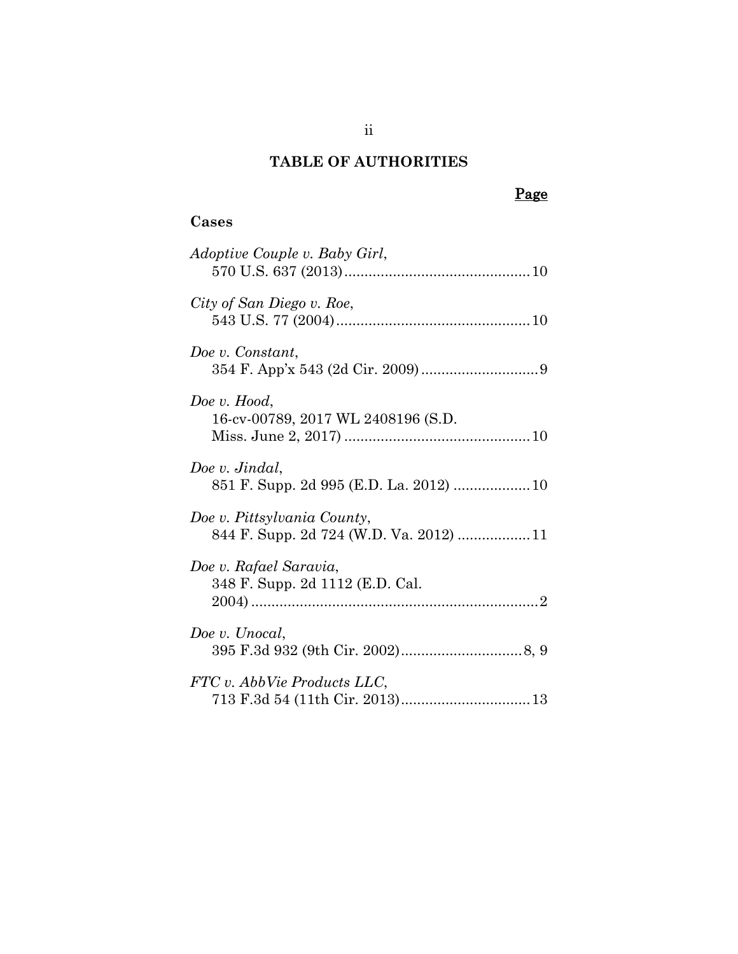## **TABLE OF AUTHORITIES**

# Page

# **Cases**

| <i>Adoptive Couple v. Baby Girl,</i>                      |
|-----------------------------------------------------------|
| City of San Diego v. Roe,                                 |
| Doe v. Constant,                                          |
| Doe v. Hood,<br>16-cv-00789, 2017 WL 2408196 (S.D.        |
| Doe v. Jindal,                                            |
| Doe v. Pittsylvania County,                               |
| Doe v. Rafael Saravia,<br>348 F. Supp. 2d 1112 (E.D. Cal. |
| Doe v. Unocal,                                            |
| FTC v. AbbVie Products LLC,                               |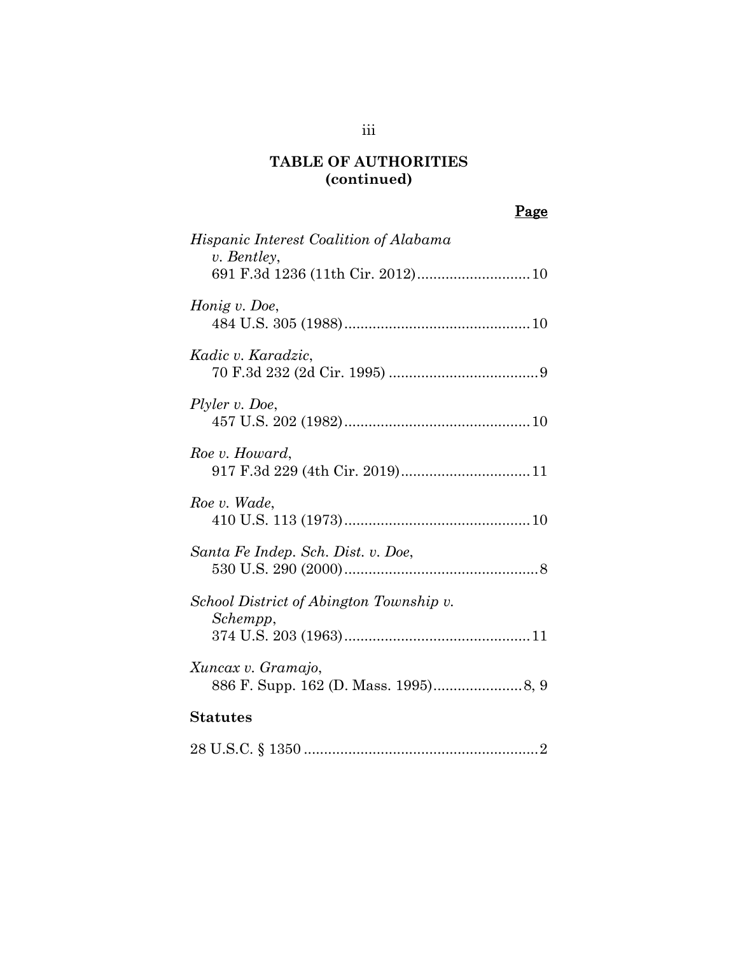## **TABLE OF AUTHORITIES (continued)**

# Page

| <i>Hispanic Interest Coalition of Alabama</i><br>v. Bentley,<br>691 F.3d 1236 (11th Cir. 2012) 10 |
|---------------------------------------------------------------------------------------------------|
| Honig v. Doe,                                                                                     |
| Kadic v. Karadzic,                                                                                |
| Plyler v. Doe,                                                                                    |
| Roe v. Howard,                                                                                    |
| Roe v. Wade,                                                                                      |
| Santa Fe Indep. Sch. Dist. v. Doe,                                                                |
| School District of Abington Township v.<br>Schempp,                                               |
| Xuncax v. Gramajo,                                                                                |
| <b>Statutes</b>                                                                                   |
|                                                                                                   |

## iii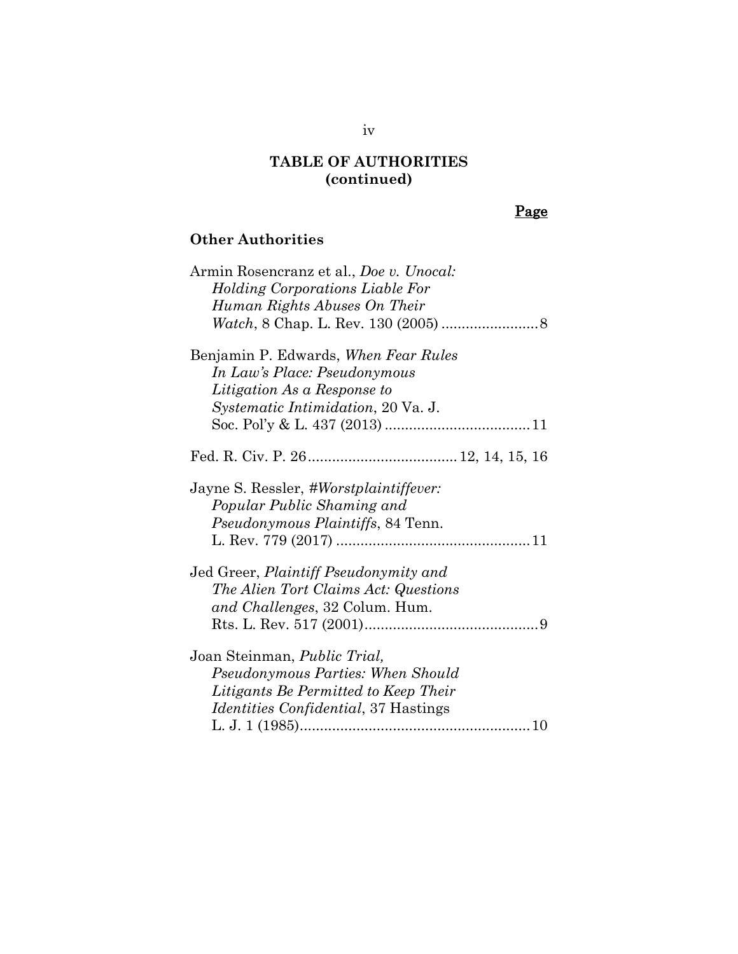## **TABLE OF AUTHORITIES (continued)**

# Page

# **Other Authorities**

| Armin Rosencranz et al., Doe v. Unocal:      |
|----------------------------------------------|
| <b>Holding Corporations Liable For</b>       |
| Human Rights Abuses On Their                 |
|                                              |
| Benjamin P. Edwards, When Fear Rules         |
| In Law's Place: Pseudonymous                 |
| Litigation As a Response to                  |
| <i>Systematic Intimidation, 20 Va. J.</i>    |
|                                              |
|                                              |
| Jayne S. Ressler, #Worstplaintiffever:       |
| Popular Public Shaming and                   |
| <i>Pseudonymous Plaintiffs</i> , 84 Tenn.    |
|                                              |
| Jed Greer, Plaintiff Pseudonymity and        |
| The Alien Tort Claims Act: Questions         |
| and Challenges, 32 Colum. Hum.               |
|                                              |
| Joan Steinman, <i>Public Trial</i> ,         |
| Pseudonymous Parties: When Should            |
| Litigants Be Permitted to Keep Their         |
| <i>Identities Confidential</i> , 37 Hastings |
|                                              |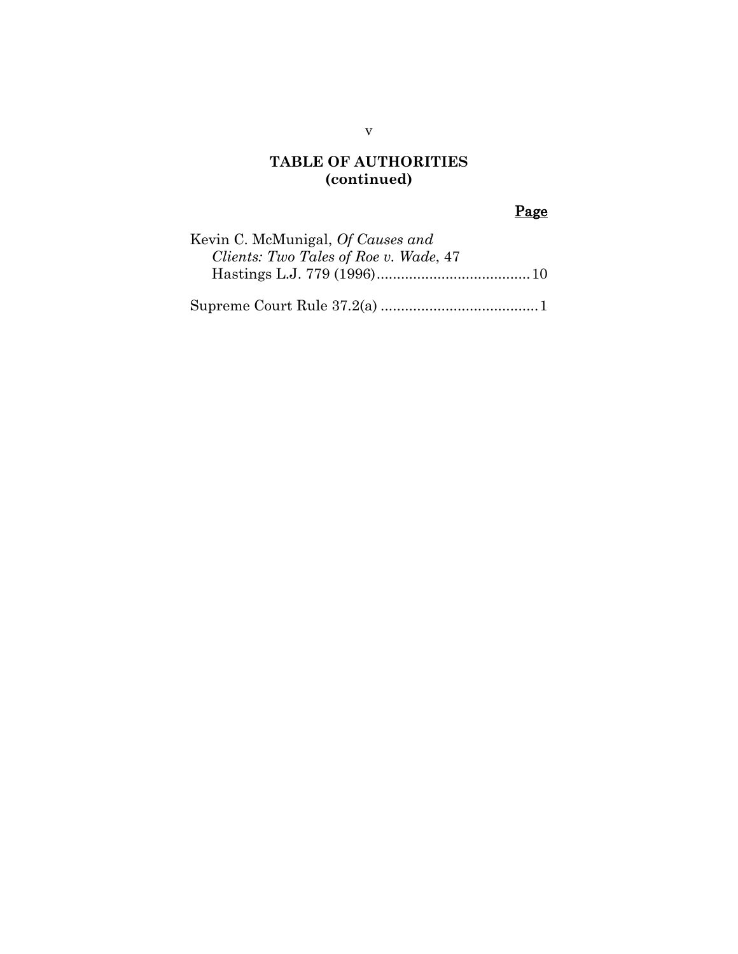## **TABLE OF AUTHORITIES (continued)**

# Page

| Kevin C. McMunigal, Of Causes and     |  |
|---------------------------------------|--|
| Clients: Two Tales of Roe v. Wade, 47 |  |
|                                       |  |
|                                       |  |

Supreme Court Rule 37.2(a) ......................................[.1](#page-6-1)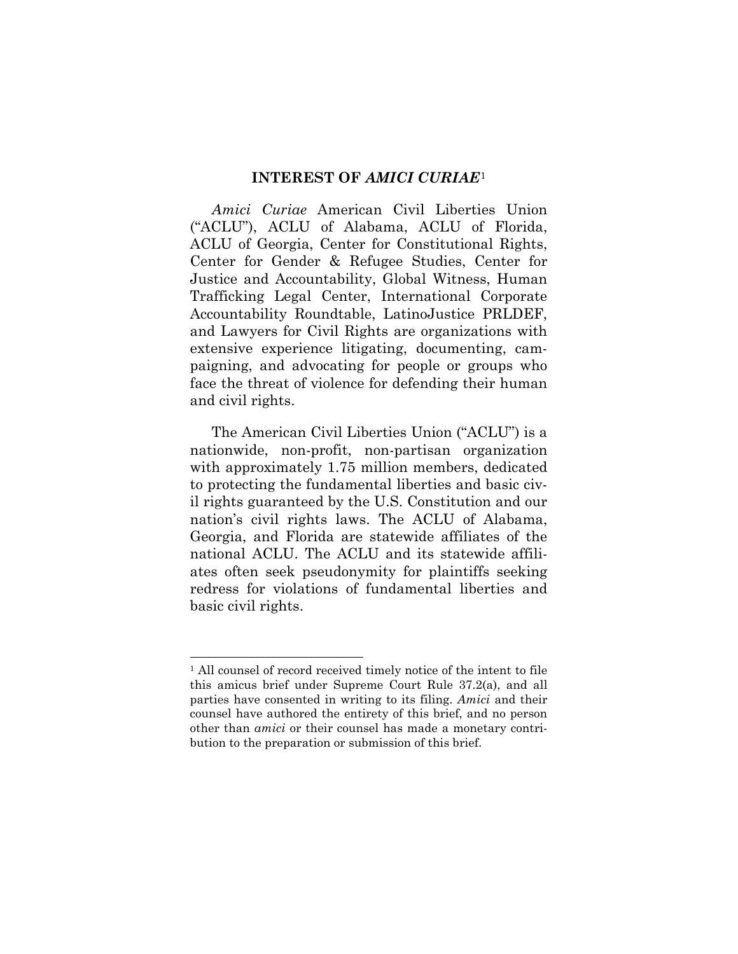#### **INTEREST OF** *AMICI CURIAE*[1](#page-6-2)

<span id="page-6-0"></span>*Amici Curiae* American Civil Liberties Union ("ACLU"), ACLU of Alabama, ACLU of Florida, ACLU of Georgia, Center for Constitutional Rights, Center for Gender & Refugee Studies, Center for Justice and Accountability, Global Witness, Human Trafficking Legal Center, International Corporate Accountability Roundtable, LatinoJustice PRLDEF, and Lawyers for Civil Rights are organizations with extensive experience litigating, documenting, campaigning, and advocating for people or groups who face the threat of violence for defending their human and civil rights.

The American Civil Liberties Union ("ACLU") is a nationwide, non-profit, non-partisan organization with approximately 1.75 million members, dedicated to protecting the fundamental liberties and basic civil rights guaranteed by the U.S. Constitution and our nation's civil rights laws. The ACLU of Alabama, Georgia, and Florida are statewide affiliates of the national ACLU. The ACLU and its statewide affiliates often seek pseudonymity for plaintiffs seeking redress for violations of fundamental liberties and basic civil rights.

<span id="page-6-2"></span><span id="page-6-1"></span><sup>&</sup>lt;sup>1</sup> All counsel of record received timely notice of the intent to file this amicus brief under Supreme Court Rule 37.2(a), and all parties have consented in writing to its filing. *Amici* and their counsel have authored the entirety of this brief, and no person other than *amici* or their counsel has made a monetary contribution to the preparation or submission of this brief.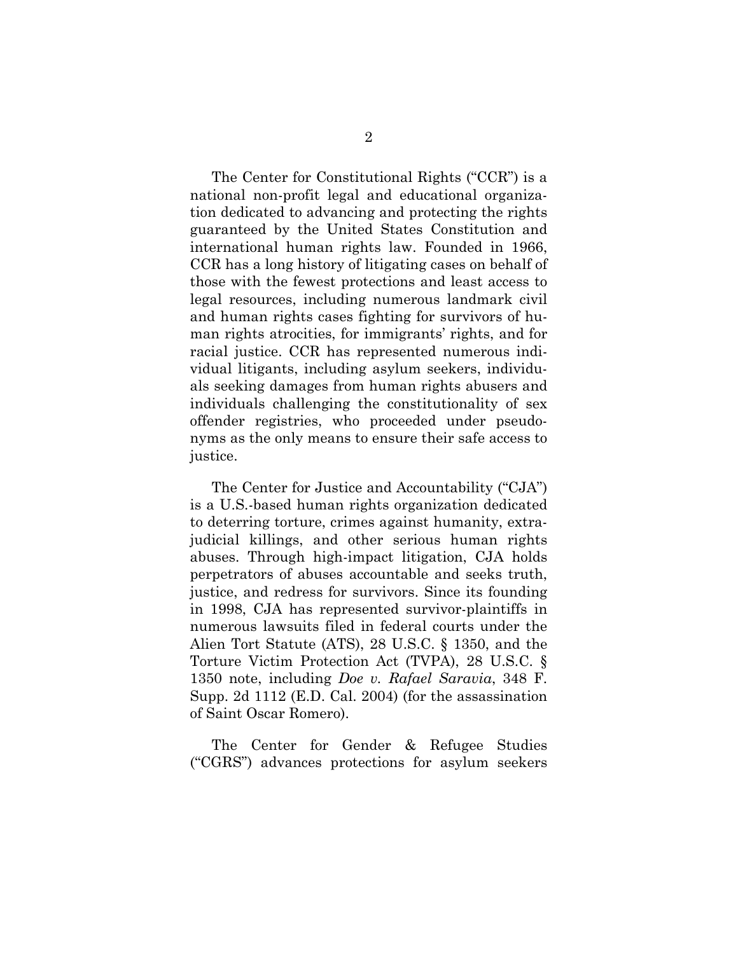The Center for Constitutional Rights ("CCR") is a national non-profit legal and educational organization dedicated to advancing and protecting the rights guaranteed by the United States Constitution and international human rights law. Founded in 1966, CCR has a long history of litigating cases on behalf of those with the fewest protections and least access to legal resources, including numerous landmark civil and human rights cases fighting for survivors of human rights atrocities, for immigrants' rights, and for racial justice. CCR has represented numerous individual litigants, including asylum seekers, individuals seeking damages from human rights abusers and individuals challenging the constitutionality of sex offender registries, who proceeded under pseudonyms as the only means to ensure their safe access to justice.

The Center for Justice and Accountability ("CJA") is a U.S.-based human rights organization dedicated to deterring torture, crimes against humanity, extrajudicial killings, and other serious human rights abuses. Through high-impact litigation, CJA holds perpetrators of abuses accountable and seeks truth, justice, and redress for survivors. Since its founding in 1998, CJA has represented survivor-plaintiffs in numerous lawsuits filed in federal courts under the Alien Tort Statute (ATS), 28 U.S.C. § 1350, and the Torture Victim Protection Act (TVPA), 28 U.S.C. § 1350 note, including *Doe v. Rafael Saravia*, 348 F. Supp. 2d 1112 (E.D. Cal. 2004) (for the assassination of Saint Oscar Romero).

<span id="page-7-1"></span><span id="page-7-0"></span>The Center for Gender & Refugee Studies ("CGRS") advances protections for asylum seekers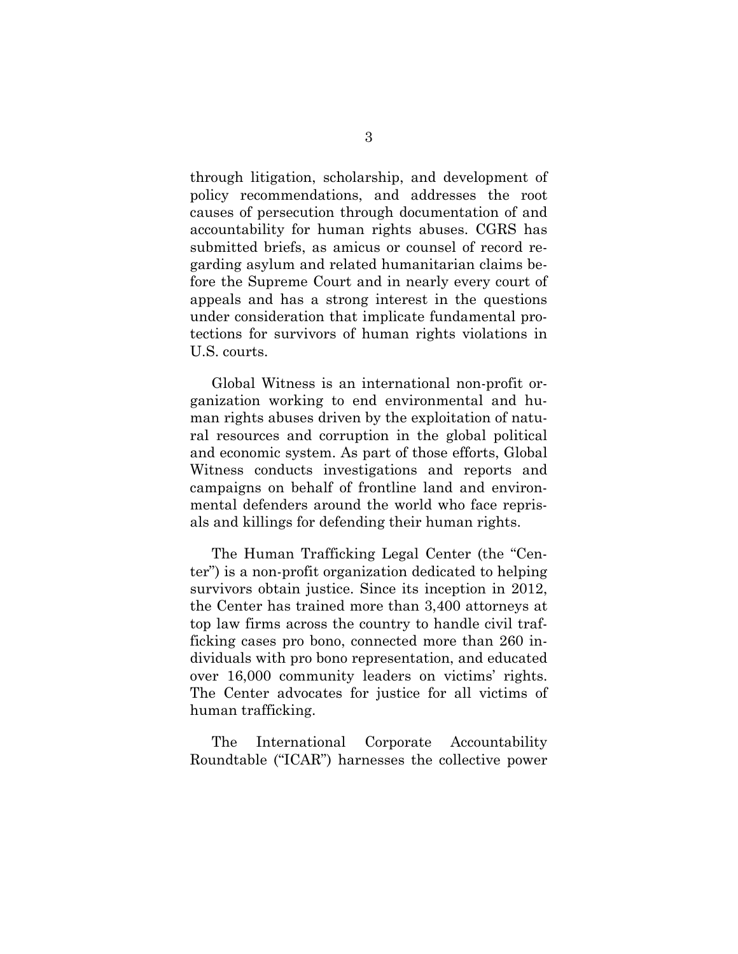through litigation, scholarship, and development of policy recommendations, and addresses the root causes of persecution through documentation of and accountability for human rights abuses. CGRS has submitted briefs, as amicus or counsel of record regarding asylum and related humanitarian claims before the Supreme Court and in nearly every court of appeals and has a strong interest in the questions under consideration that implicate fundamental protections for survivors of human rights violations in U.S. courts.

Global Witness is an international non-profit organization working to end environmental and human rights abuses driven by the exploitation of natural resources and corruption in the global political and economic system. As part of those efforts, Global Witness conducts investigations and reports and campaigns on behalf of frontline land and environmental defenders around the world who face reprisals and killings for defending their human rights.

The Human Trafficking Legal Center (the "Center") is a non-profit organization dedicated to helping survivors obtain justice. Since its inception in 2012, the Center has trained more than 3,400 attorneys at top law firms across the country to handle civil trafficking cases pro bono, connected more than 260 individuals with pro bono representation, and educated over 16,000 community leaders on victims' rights. The Center advocates for justice for all victims of human trafficking.

The International Corporate Accountability Roundtable ("ICAR") harnesses the collective power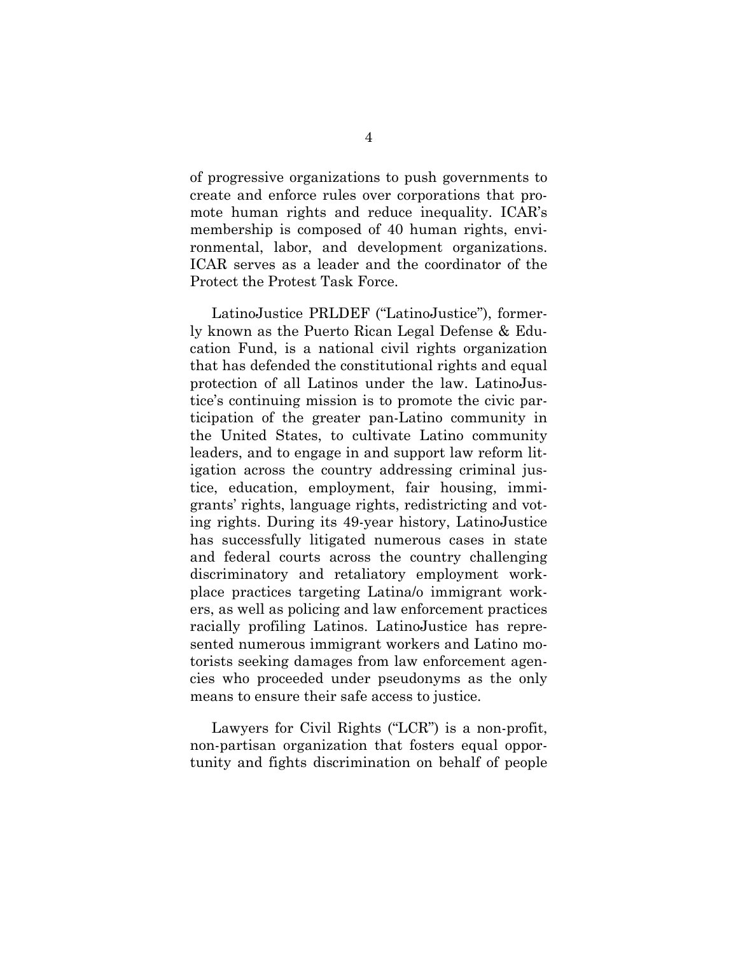of progressive organizations to push governments to create and enforce rules over corporations that promote human rights and reduce inequality. ICAR's membership is composed of 40 human rights, environmental, labor, and development organizations. ICAR serves as a leader and the coordinator of the Protect the Protest Task Force.

LatinoJustice PRLDEF ("LatinoJustice"), formerly known as the Puerto Rican Legal Defense & Education Fund, is a national civil rights organization that has defended the constitutional rights and equal protection of all Latinos under the law. LatinoJustice's continuing mission is to promote the civic participation of the greater pan-Latino community in the United States, to cultivate Latino community leaders, and to engage in and support law reform litigation across the country addressing criminal justice, education, employment, fair housing, immigrants' rights, language rights, redistricting and voting rights. During its 49-year history, LatinoJustice has successfully litigated numerous cases in state and federal courts across the country challenging discriminatory and retaliatory employment workplace practices targeting Latina/o immigrant workers, as well as policing and law enforcement practices racially profiling Latinos. LatinoJustice has represented numerous immigrant workers and Latino motorists seeking damages from law enforcement agencies who proceeded under pseudonyms as the only means to ensure their safe access to justice.

Lawyers for Civil Rights ("LCR") is a non-profit, non-partisan organization that fosters equal opportunity and fights discrimination on behalf of people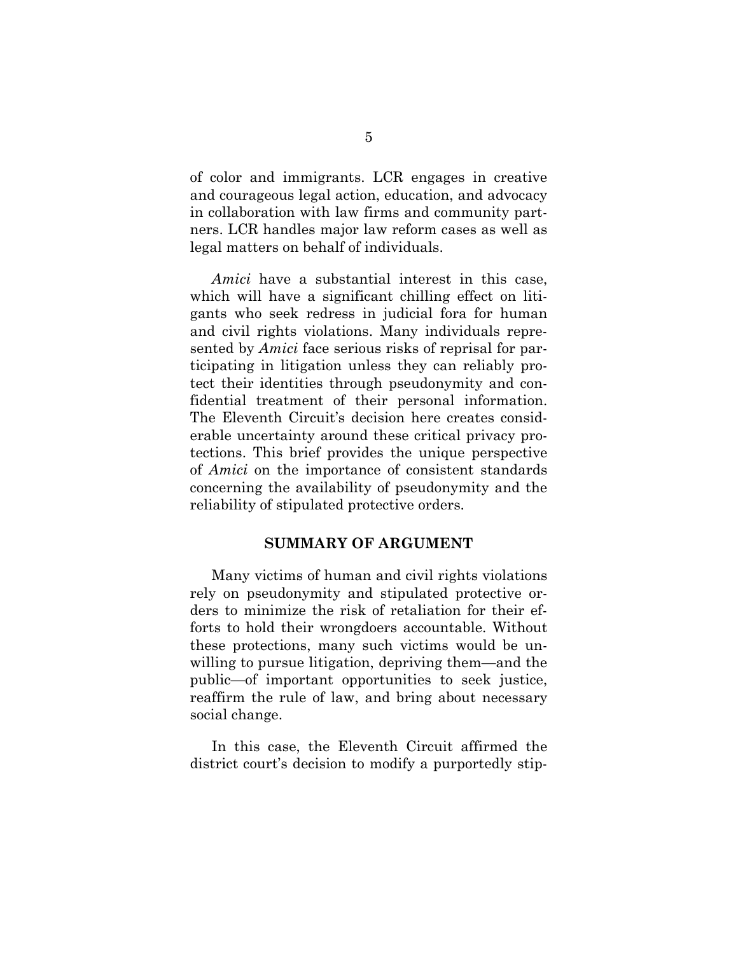of color and immigrants. LCR engages in creative and courageous legal action, education, and advocacy in collaboration with law firms and community partners. LCR handles major law reform cases as well as legal matters on behalf of individuals.

*Amici* have a substantial interest in this case, which will have a significant chilling effect on litigants who seek redress in judicial fora for human and civil rights violations. Many individuals represented by *Amici* face serious risks of reprisal for participating in litigation unless they can reliably protect their identities through pseudonymity and confidential treatment of their personal information. The Eleventh Circuit's decision here creates considerable uncertainty around these critical privacy protections. This brief provides the unique perspective of *Amici* on the importance of consistent standards concerning the availability of pseudonymity and the reliability of stipulated protective orders.

### **SUMMARY OF ARGUMENT**

<span id="page-10-0"></span>Many victims of human and civil rights violations rely on pseudonymity and stipulated protective orders to minimize the risk of retaliation for their efforts to hold their wrongdoers accountable. Without these protections, many such victims would be unwilling to pursue litigation, depriving them—and the public—of important opportunities to seek justice, reaffirm the rule of law, and bring about necessary social change.

In this case, the Eleventh Circuit affirmed the district court's decision to modify a purportedly stip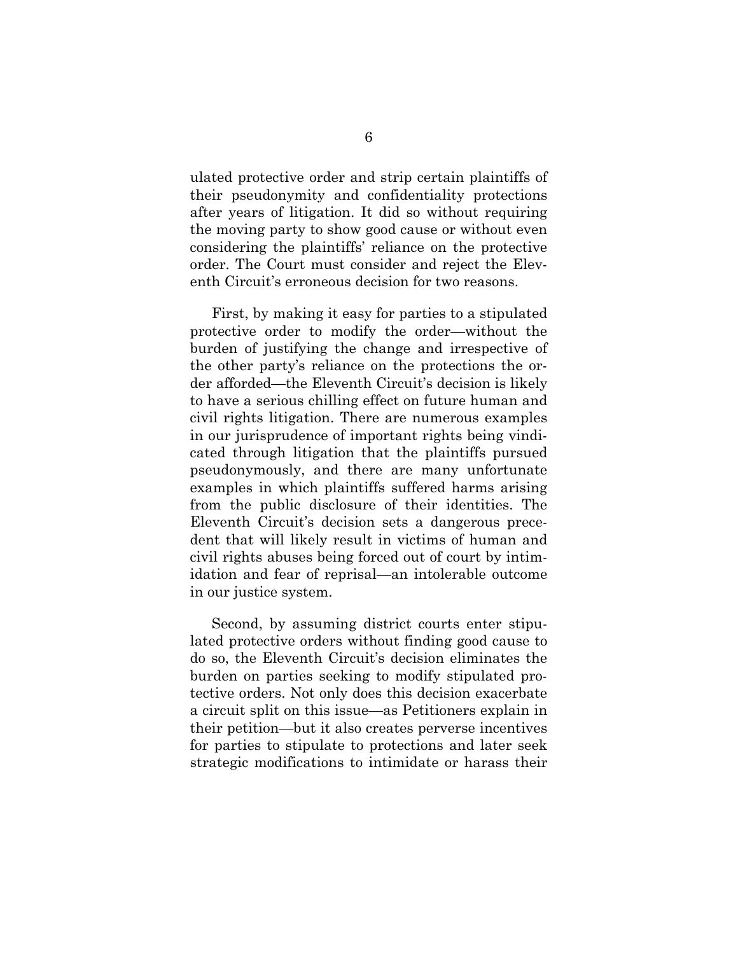ulated protective order and strip certain plaintiffs of their pseudonymity and confidentiality protections after years of litigation. It did so without requiring the moving party to show good cause or without even considering the plaintiffs' reliance on the protective order. The Court must consider and reject the Eleventh Circuit's erroneous decision for two reasons.

First, by making it easy for parties to a stipulated protective order to modify the order—without the burden of justifying the change and irrespective of the other party's reliance on the protections the order afforded—the Eleventh Circuit's decision is likely to have a serious chilling effect on future human and civil rights litigation. There are numerous examples in our jurisprudence of important rights being vindicated through litigation that the plaintiffs pursued pseudonymously, and there are many unfortunate examples in which plaintiffs suffered harms arising from the public disclosure of their identities. The Eleventh Circuit's decision sets a dangerous precedent that will likely result in victims of human and civil rights abuses being forced out of court by intimidation and fear of reprisal—an intolerable outcome in our justice system.

Second, by assuming district courts enter stipulated protective orders without finding good cause to do so, the Eleventh Circuit's decision eliminates the burden on parties seeking to modify stipulated protective orders. Not only does this decision exacerbate a circuit split on this issue—as Petitioners explain in their petition—but it also creates perverse incentives for parties to stipulate to protections and later seek strategic modifications to intimidate or harass their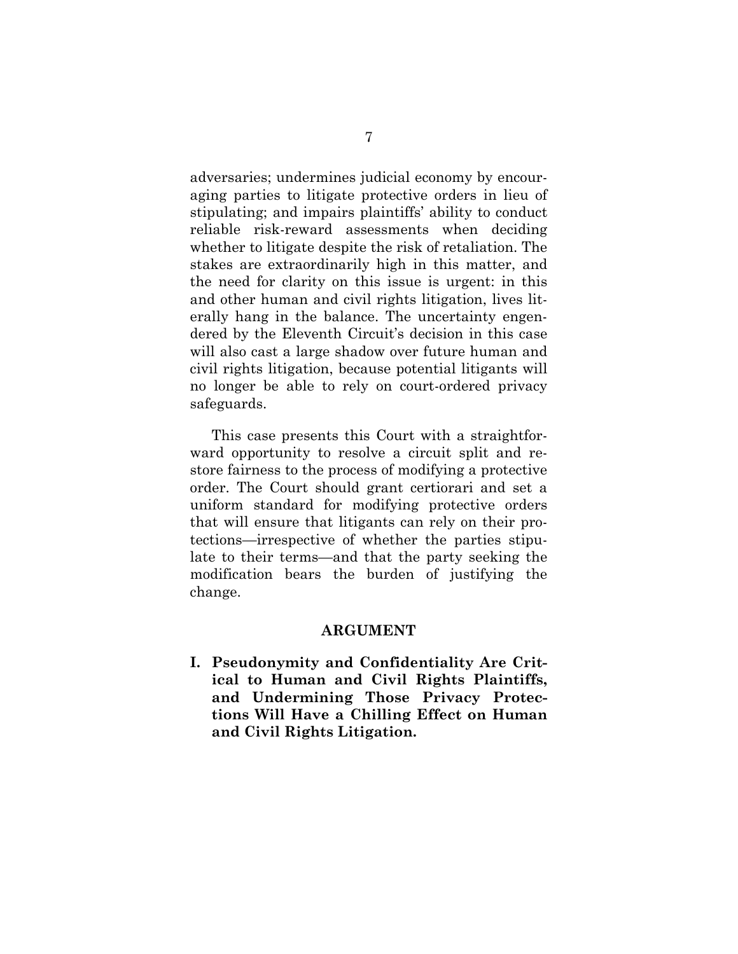adversaries; undermines judicial economy by encouraging parties to litigate protective orders in lieu of stipulating; and impairs plaintiffs' ability to conduct reliable risk-reward assessments when deciding whether to litigate despite the risk of retaliation. The stakes are extraordinarily high in this matter, and the need for clarity on this issue is urgent: in this and other human and civil rights litigation, lives literally hang in the balance. The uncertainty engendered by the Eleventh Circuit's decision in this case will also cast a large shadow over future human and civil rights litigation, because potential litigants will no longer be able to rely on court-ordered privacy safeguards.

This case presents this Court with a straightforward opportunity to resolve a circuit split and restore fairness to the process of modifying a protective order. The Court should grant certiorari and set a uniform standard for modifying protective orders that will ensure that litigants can rely on their protections—irrespective of whether the parties stipulate to their terms—and that the party seeking the modification bears the burden of justifying the change.

#### **ARGUMENT**

<span id="page-12-1"></span><span id="page-12-0"></span>**I. Pseudonymity and Confidentiality Are Critical to Human and Civil Rights Plaintiffs, and Undermining Those Privacy Protections Will Have a Chilling Effect on Human and Civil Rights Litigation.**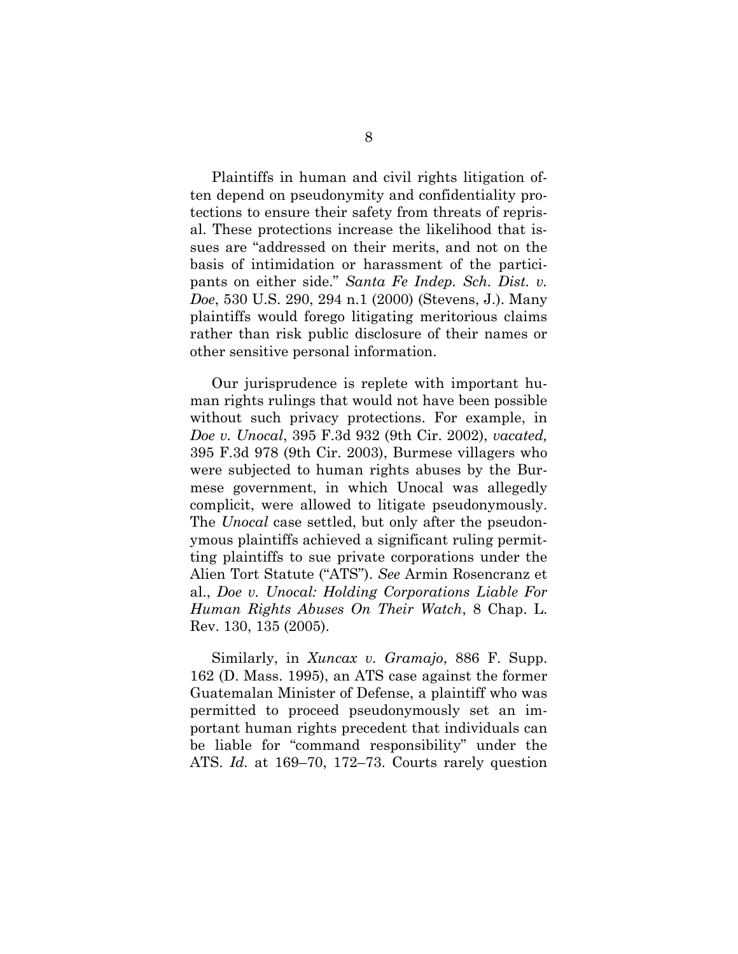<span id="page-13-1"></span>Plaintiffs in human and civil rights litigation often depend on pseudonymity and confidentiality protections to ensure their safety from threats of reprisal. These protections increase the likelihood that issues are "addressed on their merits, and not on the basis of intimidation or harassment of the participants on either side." *Santa Fe Indep. Sch. Dist. v. Doe*, 530 U.S. 290, 294 n.1 (2000) (Stevens, J.). Many plaintiffs would forego litigating meritorious claims rather than risk public disclosure of their names or other sensitive personal information.

<span id="page-13-0"></span>Our jurisprudence is replete with important human rights rulings that would not have been possible without such privacy protections. For example, in *Doe v. Unocal*, 395 F.3d 932 (9th Cir. 2002), *vacated,* 395 F.3d 978 (9th Cir. 2003), Burmese villagers who were subjected to human rights abuses by the Burmese government, in which Unocal was allegedly complicit, were allowed to litigate pseudonymously. The *Unocal* case settled, but only after the pseudonymous plaintiffs achieved a significant ruling permitting plaintiffs to sue private corporations under the Alien Tort Statute ("ATS"). *See* Armin Rosencranz et al., *Doe v. Unocal: Holding Corporations Liable For Human Rights Abuses On Their Watch*, 8 Chap. L. Rev. 130, 135 (2005).

<span id="page-13-3"></span><span id="page-13-2"></span>Similarly, in *Xuncax v. Gramajo*, 886 F. Supp. 162 (D. Mass. 1995), an ATS case against the former Guatemalan Minister of Defense, a plaintiff who was permitted to proceed pseudonymously set an important human rights precedent that individuals can be liable for "command responsibility" under the ATS. *Id.* at 169–70, 172–73. Courts rarely question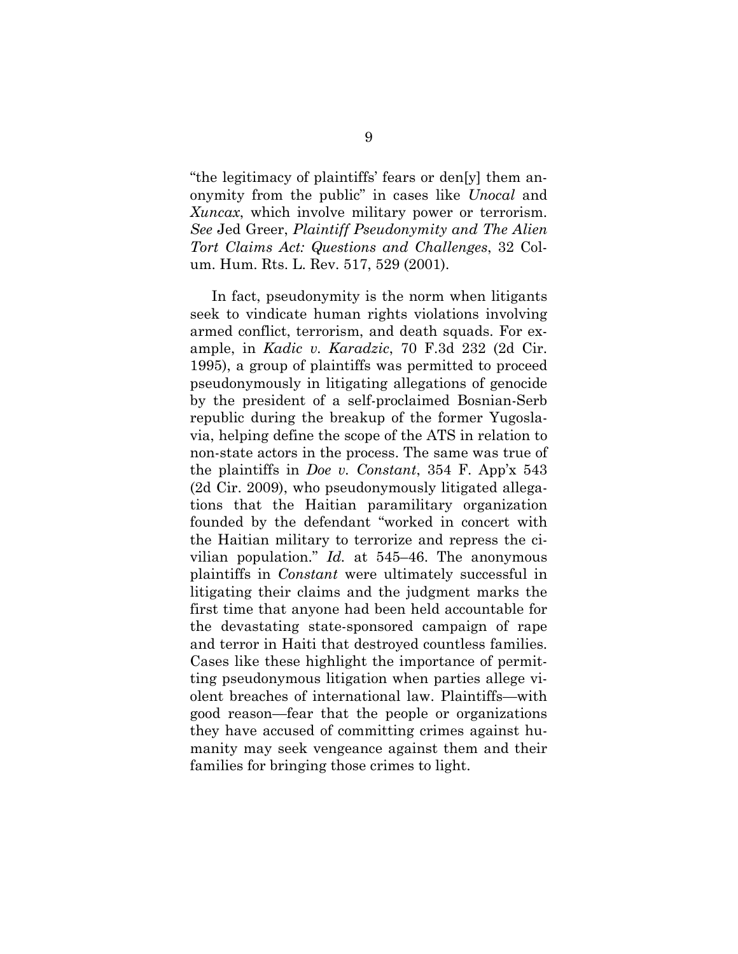<span id="page-14-4"></span><span id="page-14-3"></span><span id="page-14-1"></span>"the legitimacy of plaintiffs' fears or den[y] them anonymity from the public" in cases like *Unocal* and *Xuncax*, which involve military power or terrorism. *See* Jed Greer, *Plaintiff Pseudonymity and The Alien Tort Claims Act: Questions and Challenges*, 32 Colum. Hum. Rts. L. Rev. 517, 529 (2001).

<span id="page-14-2"></span><span id="page-14-0"></span>In fact, pseudonymity is the norm when litigants seek to vindicate human rights violations involving armed conflict, terrorism, and death squads. For example, in *Kadic v. Karadzic*, 70 F.3d 232 (2d Cir. 1995), a group of plaintiffs was permitted to proceed pseudonymously in litigating allegations of genocide by the president of a self-proclaimed Bosnian-Serb republic during the breakup of the former Yugoslavia, helping define the scope of the ATS in relation to non-state actors in the process. The same was true of the plaintiffs in *Doe v. Constant*, 354 F. App'x 543 (2d Cir. 2009), who pseudonymously litigated allegations that the Haitian paramilitary organization founded by the defendant "worked in concert with the Haitian military to terrorize and repress the civilian population." *Id.* at 545–46. The anonymous plaintiffs in *Constant* were ultimately successful in litigating their claims and the judgment marks the first time that anyone had been held accountable for the devastating state-sponsored campaign of rape and terror in Haiti that destroyed countless families. Cases like these highlight the importance of permitting pseudonymous litigation when parties allege violent breaches of international law. Plaintiffs—with good reason—fear that the people or organizations they have accused of committing crimes against humanity may seek vengeance against them and their families for bringing those crimes to light.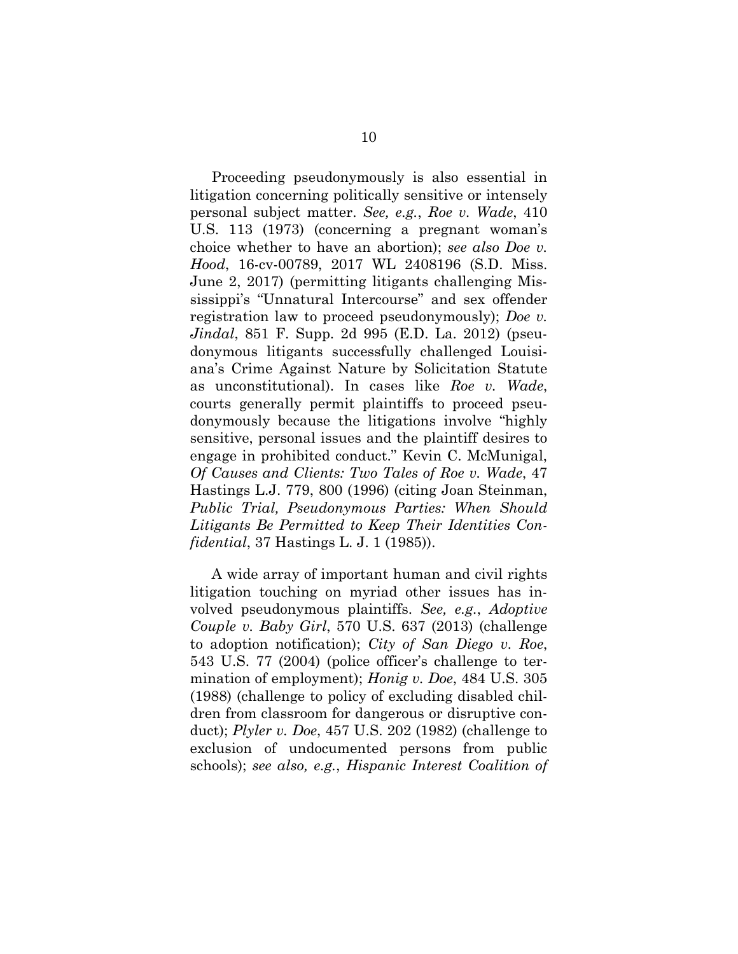<span id="page-15-7"></span><span id="page-15-3"></span><span id="page-15-2"></span>Proceeding pseudonymously is also essential in litigation concerning politically sensitive or intensely personal subject matter. *See, e.g.*, *Roe v. Wade*, 410 U.S. 113 (1973) (concerning a pregnant woman's choice whether to have an abortion); *see also Doe v. Hood*, 16-cv-00789, 2017 WL 2408196 (S.D. Miss. June 2, 2017) (permitting litigants challenging Mississippi's "Unnatural Intercourse" and sex offender registration law to proceed pseudonymously); *Doe v. Jindal*, 851 F. Supp. 2d 995 (E.D. La. 2012) (pseudonymous litigants successfully challenged Louisiana's Crime Against Nature by Solicitation Statute as unconstitutional). In cases like *Roe v. Wade*, courts generally permit plaintiffs to proceed pseudonymously because the litigations involve "highly sensitive, personal issues and the plaintiff desires to engage in prohibited conduct." Kevin C. McMunigal, *Of Causes and Clients: Two Tales of Roe v. Wade*, 47 Hastings L.J. 779, 800 (1996) (citing Joan Steinman, *Public Trial, Pseudonymous Parties: When Should Litigants Be Permitted to Keep Their Identities Confidential*, 37 Hastings L. J. 1 (1985)).

<span id="page-15-9"></span><span id="page-15-8"></span><span id="page-15-6"></span><span id="page-15-5"></span><span id="page-15-4"></span><span id="page-15-1"></span><span id="page-15-0"></span>A wide array of important human and civil rights litigation touching on myriad other issues has involved pseudonymous plaintiffs. *See, e.g.*, *Adoptive Couple v. Baby Girl*, 570 U.S. 637 (2013) (challenge to adoption notification); *City of San Diego v. Roe*, 543 U.S. 77 (2004) (police officer's challenge to termination of employment); *Honig v. Doe*, 484 U.S. 305 (1988) (challenge to policy of excluding disabled children from classroom for dangerous or disruptive conduct); *Plyler v. Doe*, 457 U.S. 202 (1982) (challenge to exclusion of undocumented persons from public schools); *see also, e.g.*, *Hispanic Interest Coalition of*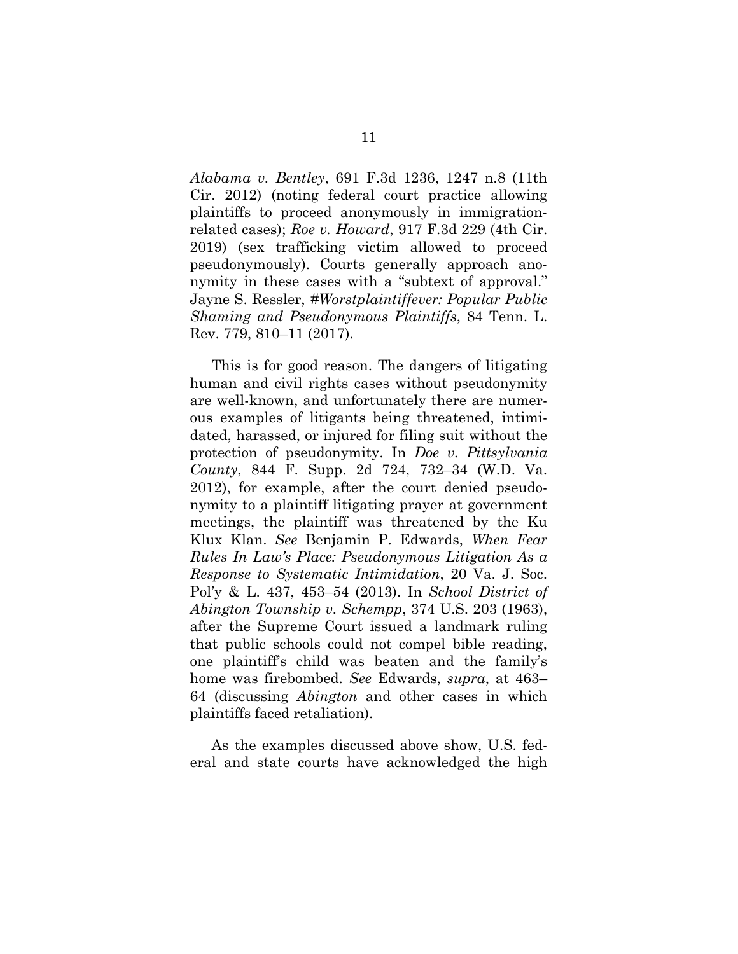<span id="page-16-1"></span>*Alabama v. Bentley*, 691 F.3d 1236, 1247 n.8 (11th Cir. 2012) (noting federal court practice allowing plaintiffs to proceed anonymously in immigrationrelated cases); *Roe v. Howard*, 917 F.3d 229 (4th Cir. 2019) (sex trafficking victim allowed to proceed pseudonymously). Courts generally approach anonymity in these cases with a "subtext of approval." Jayne S. Ressler, *#Worstplaintiffever: Popular Public Shaming and Pseudonymous Plaintiffs*, 84 Tenn. L. Rev. 779, 810–11 (2017).

<span id="page-16-4"></span><span id="page-16-3"></span><span id="page-16-0"></span>This is for good reason. The dangers of litigating human and civil rights cases without pseudonymity are well-known, and unfortunately there are numerous examples of litigants being threatened, intimidated, harassed, or injured for filing suit without the protection of pseudonymity. In *Doe v. Pittsylvania County*, 844 F. Supp. 2d 724, 732–34 (W.D. Va. 2012), for example, after the court denied pseudonymity to a plaintiff litigating prayer at government meetings, the plaintiff was threatened by the Ku Klux Klan. *See* Benjamin P. Edwards, *When Fear Rules In Law's Place: Pseudonymous Litigation As a Response to Systematic Intimidation*, 20 Va. J. Soc. Pol'y & L. 437, 453–54 (2013). In *School District of Abington Township v. Schempp*, 374 U.S. 203 (1963), after the Supreme Court issued a landmark ruling that public schools could not compel bible reading, one plaintiff's child was beaten and the family's home was firebombed. *See* Edwards, *supra*, at 463– 64 (discussing *Abington* and other cases in which plaintiffs faced retaliation).

<span id="page-16-2"></span>As the examples discussed above show, U.S. federal and state courts have acknowledged the high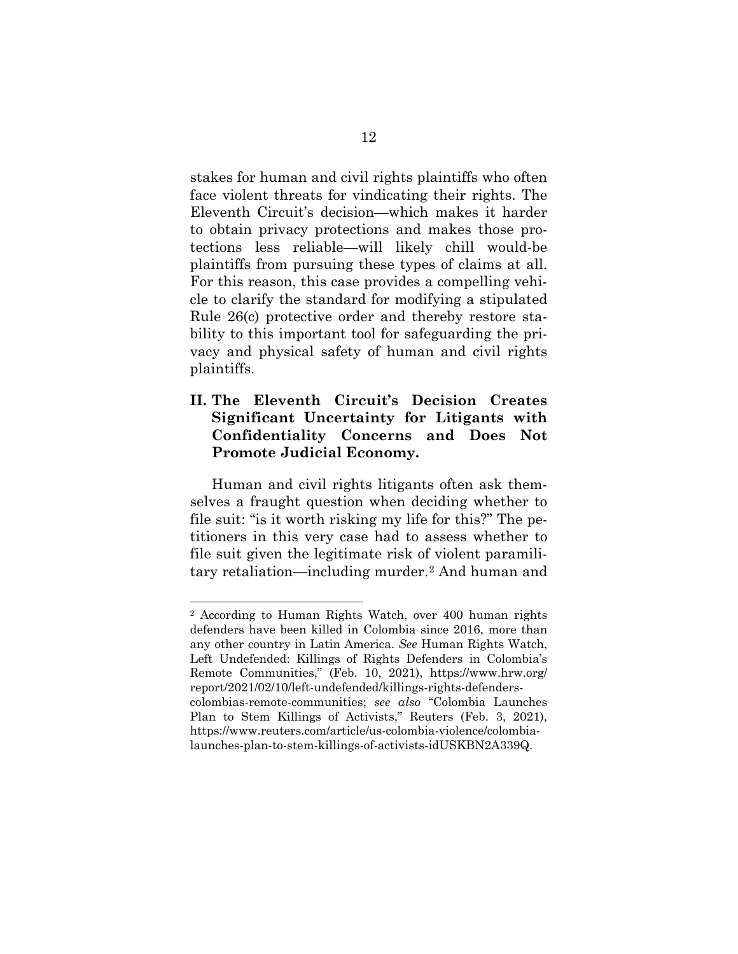stakes for human and civil rights plaintiffs who often face violent threats for vindicating their rights. The Eleventh Circuit's decision—which makes it harder to obtain privacy protections and makes those protections less reliable—will likely chill would-be plaintiffs from pursuing these types of claims at all. For this reason, this case provides a compelling vehicle to clarify the standard for modifying a stipulated Rule 26(c) protective order and thereby restore stability to this important tool for safeguarding the privacy and physical safety of human and civil rights plaintiffs.

## <span id="page-17-0"></span>**II. The Eleventh Circuit's Decision Creates Significant Uncertainty for Litigants with Confidentiality Concerns and Does Not Promote Judicial Economy.**

Human and civil rights litigants often ask themselves a fraught question when deciding whether to file suit: "is it worth risking my life for this?" The petitioners in this very case had to assess whether to file suit given the legitimate risk of violent paramilitary retaliation—including murder.[2](#page-17-1) And human and

<span id="page-17-1"></span><sup>2</sup> According to Human Rights Watch, over 400 human rights defenders have been killed in Colombia since 2016, more than any other country in Latin America. *See* Human Rights Watch, Left Undefended: Killings of Rights Defenders in Colombia's Remote Communities," (Feb. 10, 2021), https://www.hrw.org/ report/2021/02/10/left-undefended/killings-rights-defenderscolombias-remote-communities; *see also* "Colombia Launches Plan to Stem Killings of Activists," Reuters (Feb. 3, 2021), https://www.reuters.com/article/us-colombia-violence/colombialaunches-plan-to-stem-killings-of-activists-idUSKBN2A339Q.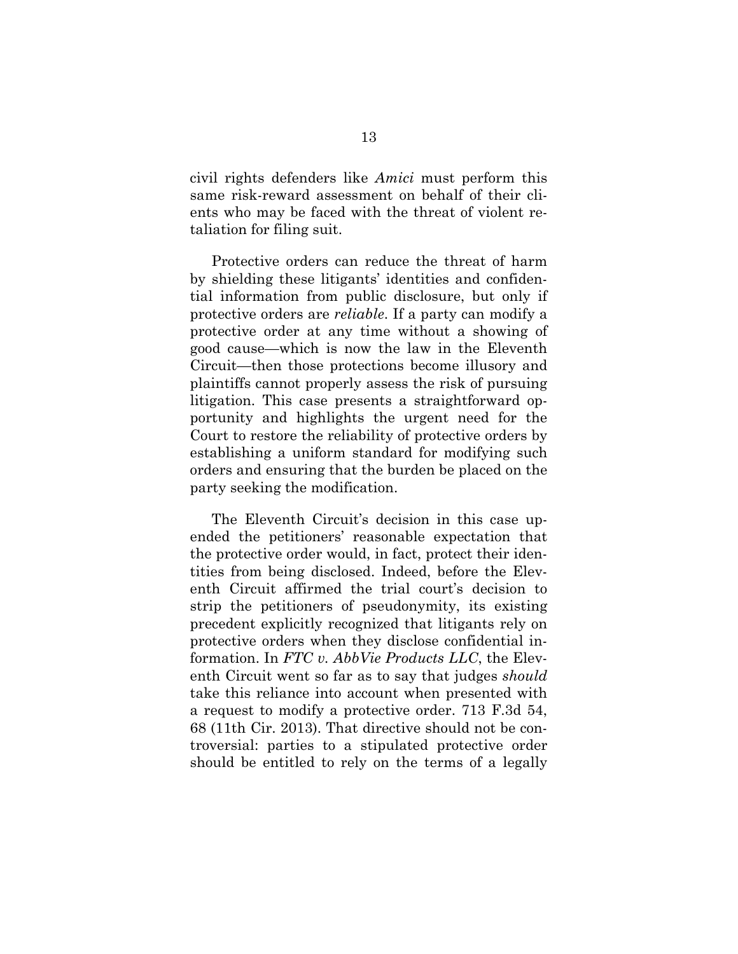civil rights defenders like *Amici* must perform this same risk-reward assessment on behalf of their clients who may be faced with the threat of violent retaliation for filing suit.

Protective orders can reduce the threat of harm by shielding these litigants' identities and confidential information from public disclosure, but only if protective orders are *reliable*. If a party can modify a protective order at any time without a showing of good cause—which is now the law in the Eleventh Circuit—then those protections become illusory and plaintiffs cannot properly assess the risk of pursuing litigation. This case presents a straightforward opportunity and highlights the urgent need for the Court to restore the reliability of protective orders by establishing a uniform standard for modifying such orders and ensuring that the burden be placed on the party seeking the modification.

<span id="page-18-0"></span>The Eleventh Circuit's decision in this case upended the petitioners' reasonable expectation that the protective order would, in fact, protect their identities from being disclosed. Indeed, before the Eleventh Circuit affirmed the trial court's decision to strip the petitioners of pseudonymity, its existing precedent explicitly recognized that litigants rely on protective orders when they disclose confidential information. In *FTC v. AbbVie Products LLC*, the Eleventh Circuit went so far as to say that judges *should* take this reliance into account when presented with a request to modify a protective order. 713 F.3d 54, 68 (11th Cir. 2013). That directive should not be controversial: parties to a stipulated protective order should be entitled to rely on the terms of a legally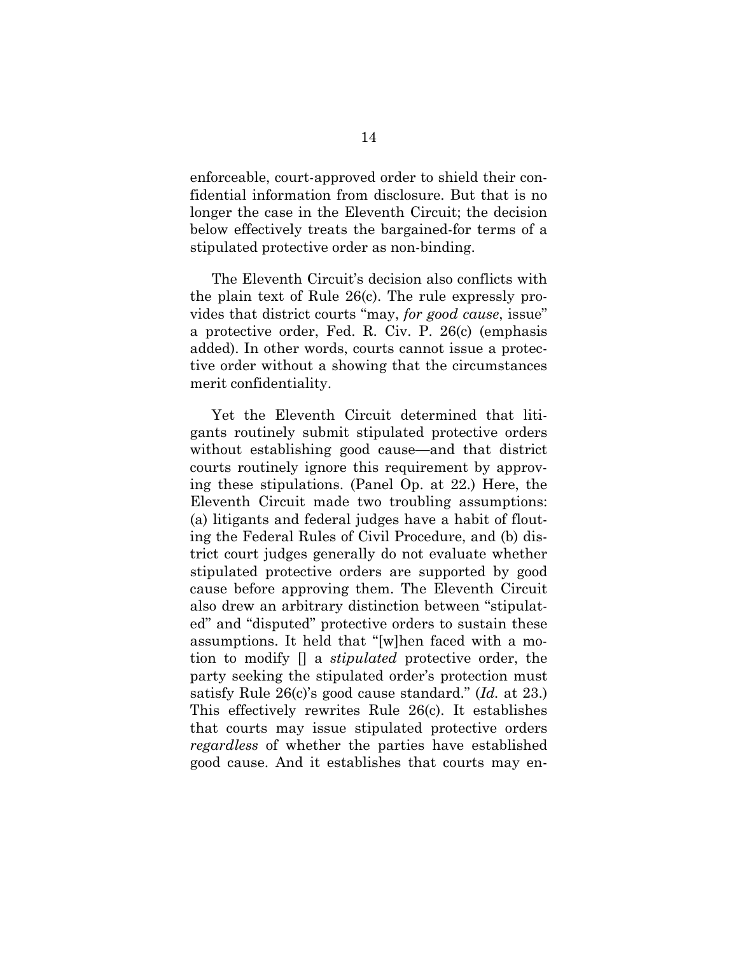enforceable, court-approved order to shield their confidential information from disclosure. But that is no longer the case in the Eleventh Circuit; the decision below effectively treats the bargained-for terms of a stipulated protective order as non-binding.

The Eleventh Circuit's decision also conflicts with the plain text of Rule 26(c). The rule expressly provides that district courts "may, *for good cause*, issue" a protective order, Fed. R. Civ. P. 26(c) (emphasis added). In other words, courts cannot issue a protective order without a showing that the circumstances merit confidentiality.

Yet the Eleventh Circuit determined that litigants routinely submit stipulated protective orders without establishing good cause—and that district courts routinely ignore this requirement by approving these stipulations. (Panel Op. at 22.) Here, the Eleventh Circuit made two troubling assumptions: (a) litigants and federal judges have a habit of flouting the Federal Rules of Civil Procedure, and (b) district court judges generally do not evaluate whether stipulated protective orders are supported by good cause before approving them. The Eleventh Circuit also drew an arbitrary distinction between "stipulated" and "disputed" protective orders to sustain these assumptions. It held that "[w]hen faced with a motion to modify [] a *stipulated* protective order, the party seeking the stipulated order's protection must satisfy Rule 26(c)'s good cause standard." (*Id.* at 23.) This effectively rewrites Rule 26(c). It establishes that courts may issue stipulated protective orders *regardless* of whether the parties have established good cause. And it establishes that courts may en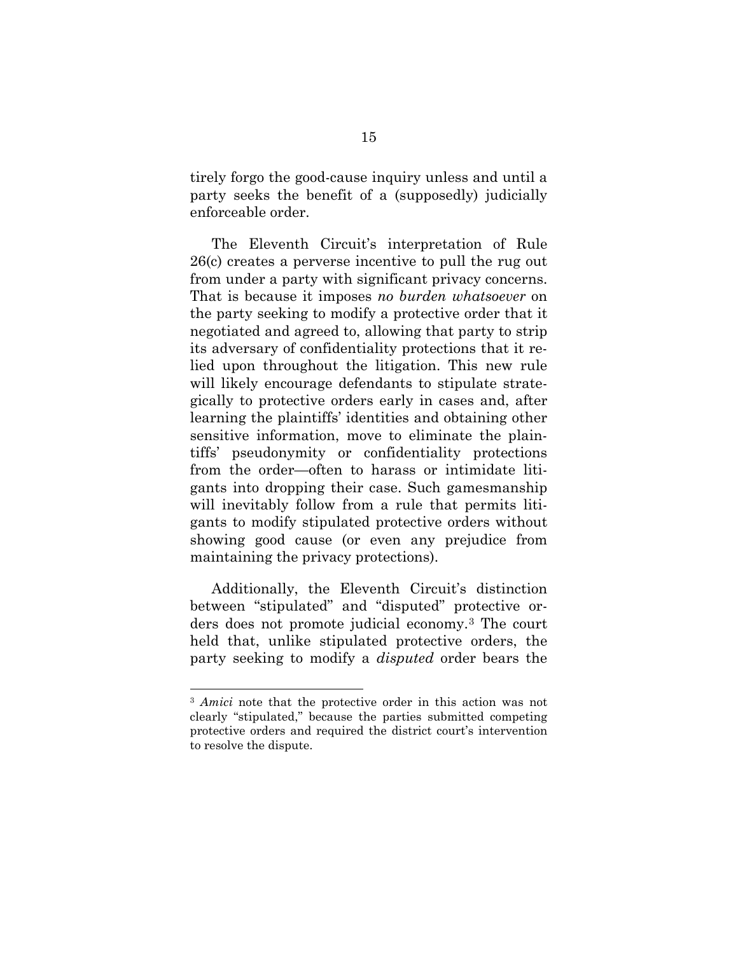tirely forgo the good-cause inquiry unless and until a party seeks the benefit of a (supposedly) judicially enforceable order.

The Eleventh Circuit's interpretation of Rule 26(c) creates a perverse incentive to pull the rug out from under a party with significant privacy concerns. That is because it imposes *no burden whatsoever* on the party seeking to modify a protective order that it negotiated and agreed to, allowing that party to strip its adversary of confidentiality protections that it relied upon throughout the litigation. This new rule will likely encourage defendants to stipulate strategically to protective orders early in cases and, after learning the plaintiffs' identities and obtaining other sensitive information, move to eliminate the plaintiffs' pseudonymity or confidentiality protections from the order—often to harass or intimidate litigants into dropping their case. Such gamesmanship will inevitably follow from a rule that permits litigants to modify stipulated protective orders without showing good cause (or even any prejudice from maintaining the privacy protections).

Additionally, the Eleventh Circuit's distinction between "stipulated" and "disputed" protective orders does not promote judicial economy.[3](#page-20-0) The court held that, unlike stipulated protective orders, the party seeking to modify a *disputed* order bears the

<span id="page-20-0"></span><sup>3</sup> *Amici* note that the protective order in this action was not clearly "stipulated," because the parties submitted competing protective orders and required the district court's intervention to resolve the dispute.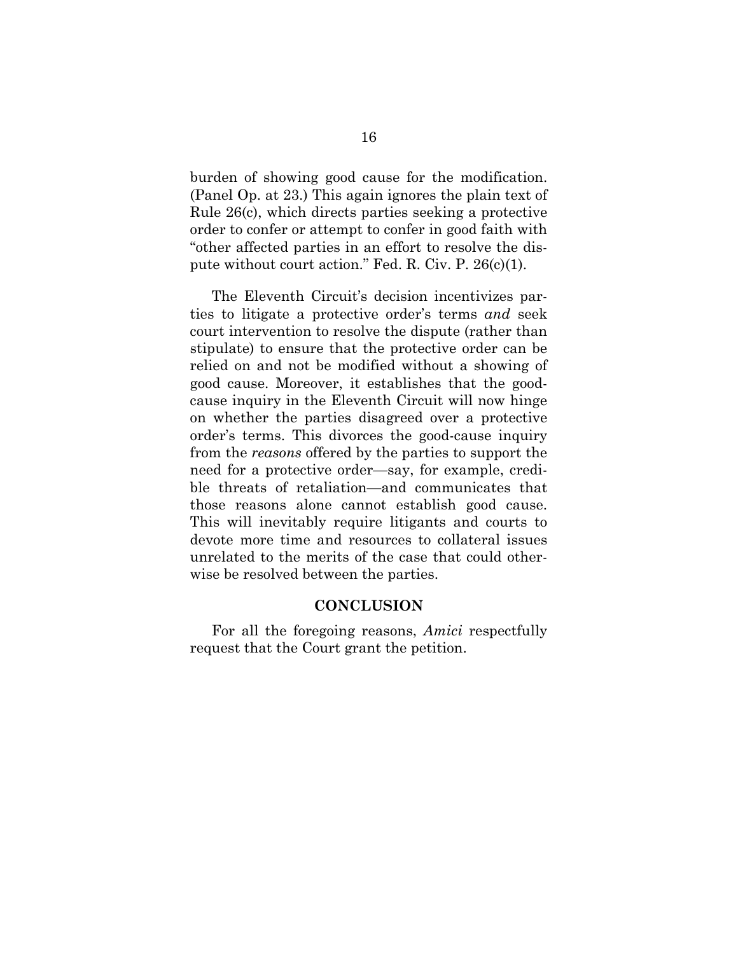burden of showing good cause for the modification. (Panel Op. at 23.) This again ignores the plain text of Rule 26(c), which directs parties seeking a protective order to confer or attempt to confer in good faith with "other affected parties in an effort to resolve the dispute without court action." Fed. R. Civ. P.  $26(c)(1)$ .

<span id="page-21-1"></span>The Eleventh Circuit's decision incentivizes parties to litigate a protective order's terms *and* seek court intervention to resolve the dispute (rather than stipulate) to ensure that the protective order can be relied on and not be modified without a showing of good cause. Moreover, it establishes that the goodcause inquiry in the Eleventh Circuit will now hinge on whether the parties disagreed over a protective order's terms. This divorces the good-cause inquiry from the *reasons* offered by the parties to support the need for a protective order—say, for example, credible threats of retaliation—and communicates that those reasons alone cannot establish good cause. This will inevitably require litigants and courts to devote more time and resources to collateral issues unrelated to the merits of the case that could otherwise be resolved between the parties.

### **CONCLUSION**

<span id="page-21-0"></span>For all the foregoing reasons, *Amici* respectfully request that the Court grant the petition.